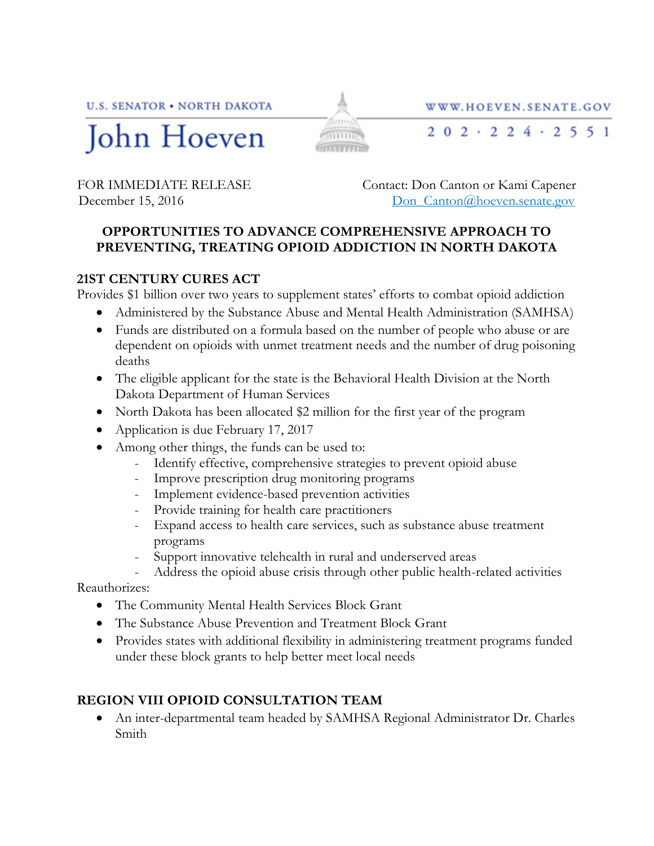**U.S. SENATOR • NORTH DAKOTA** 



FOR IMMEDIATE RELEASE Contact: Don Canton or Kami Capener

December 15, 2016 **Don** Canton all Don Canton all Don Canton all Level 3.

WWW.HOEVEN.SENATE.GOV

 $202 \cdot 224 \cdot 2551$ 

## **OPPORTUNITIES TO ADVANCE COMPREHENSIVE APPROACH TO PREVENTING, TREATING OPIOID ADDICTION IN NORTH DAKOTA**

Smm3

mum

## **21ST CENTURY CURES ACT**

Provides \$1 billion over two years to supplement states' efforts to combat opioid addiction

- Administered by the Substance Abuse and Mental Health Administration (SAMHSA)
- Funds are distributed on a formula based on the number of people who abuse or are dependent on opioids with unmet treatment needs and the number of drug poisoning deaths
- The eligible applicant for the state is the Behavioral Health Division at the North Dakota Department of Human Services
- North Dakota has been allocated \$2 million for the first year of the program
- Application is due February 17, 2017
- Among other things, the funds can be used to:
	- Identify effective, comprehensive strategies to prevent opioid abuse
	- Improve prescription drug monitoring programs
	- Implement evidence-based prevention activities
	- Provide training for health care practitioners
	- Expand access to health care services, such as substance abuse treatment programs
	- Support innovative telehealth in rural and underserved areas
	- Address the opioid abuse crisis through other public health-related activities

Reauthorizes:

- The Community Mental Health Services Block Grant
- The Substance Abuse Prevention and Treatment Block Grant
- Provides states with additional flexibility in administering treatment programs funded under these block grants to help better meet local needs

## **REGION VIII OPIOID CONSULTATION TEAM**

 An inter-departmental team headed by SAMHSA Regional Administrator Dr. Charles Smith